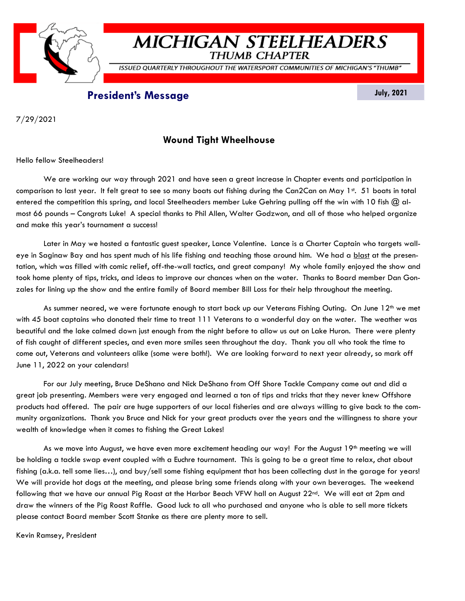

# **MICHIGAN STEELHEADERS**

**THUMB CHAPTER** 

ISSUED QUARTERLY THROUGHOUT THE WATERSPORT COMMUNITIES OF MICHIGAN'S "THUMB"

## **President's Message July, 2021**

7/29/2021

## **Wound Tight Wheelhouse**

Hello fellow Steelheaders!

We are working our way through 2021 and have seen a great increase in Chapter events and participation in comparison to last year. It felt great to see so many boats out fishing during the Can2Can on May  $1<sup>st</sup>$ . 51 boats in total entered the competition this spring, and local Steelheaders member Luke Gehring pulling off the win with 10 fish  $\omega$  almost 66 pounds – Congrats Luke! A special thanks to Phil Allen, Walter Godzwon, and all of those who helped organize and make this year's tournament a success!

Later in May we hosted a fantastic guest speaker, Lance Valentine. Lance is a Charter Captain who targets walleye in Saginaw Bay and has spent much of his life fishing and teaching those around him. We had a blast at the presentation, which was filled with comic relief, off-the-wall tactics, and great company! My whole family enjoyed the show and took home plenty of tips, tricks, and ideas to improve our chances when on the water. Thanks to Board member Dan Gonzales for lining up the show and the entire family of Board member Bill Loss for their help throughout the meeting.

As summer neared, we were fortunate enough to start back up our Veterans Fishing Outing. On June 12<sup>th</sup> we met with 45 boat captains who donated their time to treat 111 Veterans to a wonderful day on the water. The weather was beautiful and the lake calmed down just enough from the night before to allow us out on Lake Huron. There were plenty of fish caught of different species, and even more smiles seen throughout the day. Thank you all who took the time to come out, Veterans and volunteers alike (some were both!). We are looking forward to next year already, so mark off June 11, 2022 on your calendars!

For our July meeting, Bruce DeShano and Nick DeShano from Off Shore Tackle Company came out and did a great job presenting. Members were very engaged and learned a ton of tips and tricks that they never knew Offshore products had offered. The pair are huge supporters of our local fisheries and are always willing to give back to the community organizations. Thank you Bruce and Nick for your great products over the years and the willingness to share your wealth of knowledge when it comes to fishing the Great Lakes!

As we move into August, we have even more excitement heading our way! For the August  $19<sup>th</sup>$  meeting we will be holding a tackle swap event coupled with a Euchre tournament. This is going to be a great time to relax, chat about fishing (a.k.a. tell some lies...), and buy/sell some fishing equipment that has been collecting dust in the garage for years! We will provide hot dogs at the meeting, and please bring some friends along with your own beverages. The weekend following that we have our annual Pig Roast at the Harbor Beach VFW hall on August 22nd. We will eat at 2pm and draw the winners of the Pig Roast Raffle. Good luck to all who purchased and anyone who is able to sell more tickets please contact Board member Scott Stanke as there are plenty more to sell.

Kevin Ramsey, President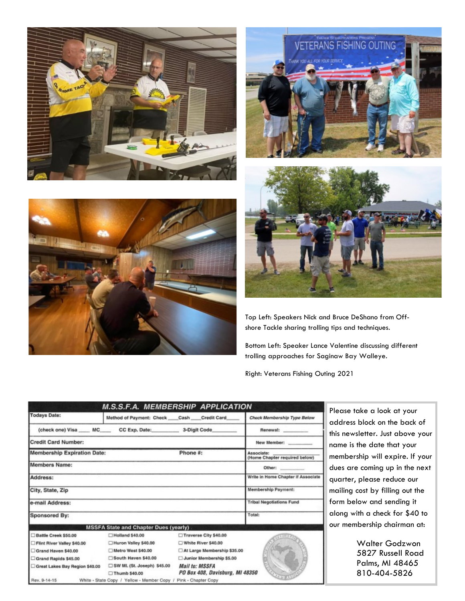







Top Left: Speakers Nick and Bruce DeShano from Offshore Tackle sharing trolling tips and techniques.

Bottom Left: Speaker Lance Valentine discussing different trolling approaches for Saginaw Bay Walleye.

Right: Veterans Fishing Outing 2021

|                                                | <b>M.S.S.F.A. MEMBERSHIP APPLICATION</b>                         |                                                          |                                             |
|------------------------------------------------|------------------------------------------------------------------|----------------------------------------------------------|---------------------------------------------|
| <b>Todays Date:</b>                            | Method of Payment: Check Cash Credit Card                        |                                                          | Check Membership Type Below                 |
|                                                | (check one) Visa ____ MC____ CC Exp. Date: ________ 3-Digit Code |                                                          | Renewal:                                    |
| <b>Credit Card Number:</b>                     |                                                                  |                                                          | New Member:                                 |
| Phone #:<br><b>Membership Expiration Date:</b> |                                                                  |                                                          | Associate:<br>(Home Chapter required below) |
| <b>Members Name:</b>                           |                                                                  |                                                          | Other:                                      |
| Address:                                       |                                                                  |                                                          | Write in Home Chapter if Associate          |
| City, State, Zip                               |                                                                  |                                                          | Membership Payment:                         |
| e-mail Address:                                |                                                                  |                                                          | <b>Tribal Negotiations Fund</b>             |
| Sponsored By:                                  |                                                                  |                                                          | Total:                                      |
|                                                | <b>MSSFA State and Chapter Dues (yearly)</b>                     |                                                          |                                             |
| Battle Creek \$50.00                           | Holland \$40,00                                                  | Traverse City \$40.00                                    |                                             |
| Flint River Valley \$40.00                     | Huron Valley \$40.00                                             | White River \$40.00                                      |                                             |
| Grand Haven \$40.00                            | Metro West \$40.00                                               | At Large Membership \$35.00                              |                                             |
| Grand Rapids \$45.00                           | South Haven \$40.00                                              | Junior Membership \$5.00                                 |                                             |
| Great Lakes Bay Region \$40.00                 | SW ML (St. Joseph) \$45.00<br>Thumb \$40.00                      | <b>Mail to: MSSFA</b><br>PO Box 408, Davisburg, MI 48350 |                                             |
| Rev. 9-14-15                                   | White - State Copy / Yellow - Member Copy / Pink - Chapter Copy  |                                                          |                                             |

Please take a look at your address block on the back of this newsletter. Just above your name is the date that your membership will expire. If your dues are coming up in the next quarter, please reduce our mailing cost by filling out the form below and sending it along with a check for \$40 to our membership chairman at:

> Walter Godzwon 5827 Russell Road Palms, MI 48465 810-404-5826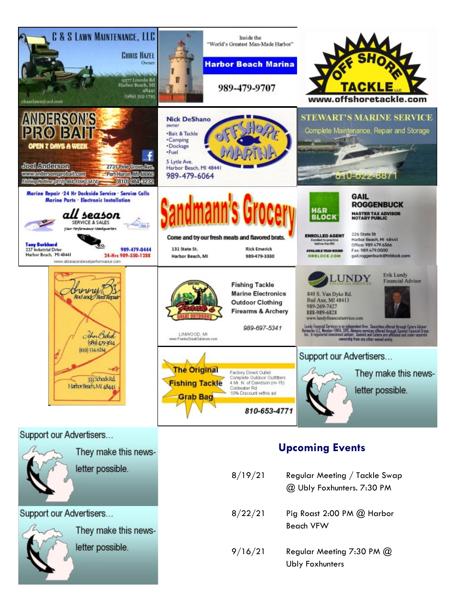